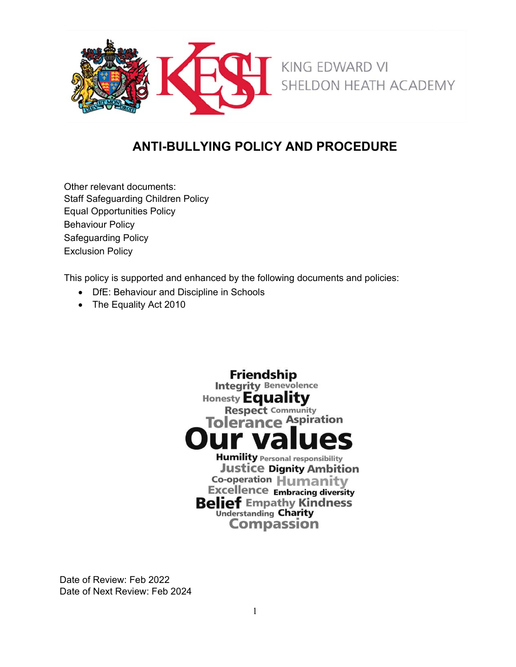

# **ANTI-BULLYING POLICY AND PROCEDURE**

Other relevant documents: Staff Safeguarding Children Policy Equal Opportunities Policy Behaviour Policy Safeguarding Policy Exclusion Policy

This policy is supported and enhanced by the following documents and policies:

- DfE: Behaviour and Discipline in Schools
- The Equality Act 2010



Date of Review: Feb 2022 Date of Next Review: Feb 2024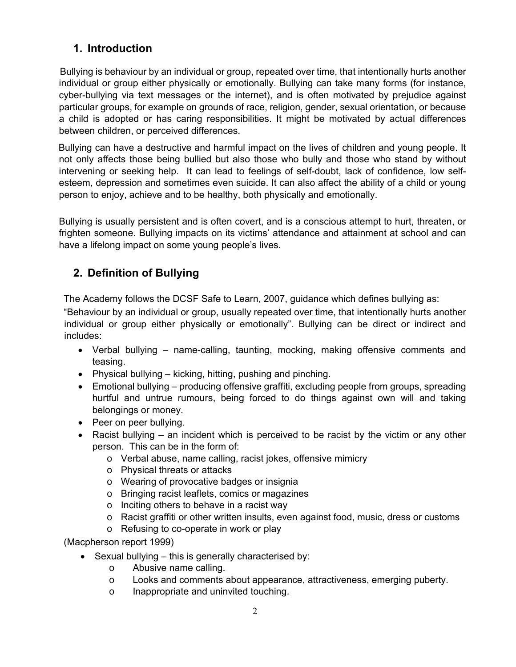### **1. Introduction**

Bullying is behaviour by an individual or group, repeated over time, that intentionally hurts another individual or group either physically or emotionally. Bullying can take many forms (for instance, cyber-bullying via text messages or the internet), and is often motivated by prejudice against particular groups, for example on grounds of race, religion, gender, sexual orientation, or because a child is adopted or has caring responsibilities. It might be motivated by actual differences between children, or perceived differences.

Bullying can have a destructive and harmful impact on the lives of children and young people. It not only affects those being bullied but also those who bully and those who stand by without intervening or seeking help. It can lead to feelings of self-doubt, lack of confidence, low selfesteem, depression and sometimes even suicide. It can also affect the ability of a child or young person to enjoy, achieve and to be healthy, both physically and emotionally.

Bullying is usually persistent and is often covert, and is a conscious attempt to hurt, threaten, or frighten someone. Bullying impacts on its victims' attendance and attainment at school and can have a lifelong impact on some young people's lives.

# **2. Definition of Bullying**

The Academy follows the DCSF Safe to Learn, 2007, guidance which defines bullying as:

"Behaviour by an individual or group, usually repeated over time, that intentionally hurts another individual or group either physically or emotionally". Bullying can be direct or indirect and includes:

- Verbal bullying name-calling, taunting, mocking, making offensive comments and teasing.
- Physical bullying kicking, hitting, pushing and pinching.
- Emotional bullying producing offensive graffiti, excluding people from groups, spreading hurtful and untrue rumours, being forced to do things against own will and taking belongings or money.
- Peer on peer bullying.
- Racist bullying an incident which is perceived to be racist by the victim or any other person. This can be in the form of:
	- o Verbal abuse, name calling, racist jokes, offensive mimicry
	- o Physical threats or attacks
	- o Wearing of provocative badges or insignia
	- o Bringing racist leaflets, comics or magazines
	- $\circ$  Inciting others to behave in a racist way
	- o Racist graffiti or other written insults, even against food, music, dress or customs
	- o Refusing to co-operate in work or play

(Macpherson report 1999)

- $\bullet$  Sexual bullying this is generally characterised by:
	- o Abusive name calling.
	- o Looks and comments about appearance, attractiveness, emerging puberty.
	- o Inappropriate and uninvited touching.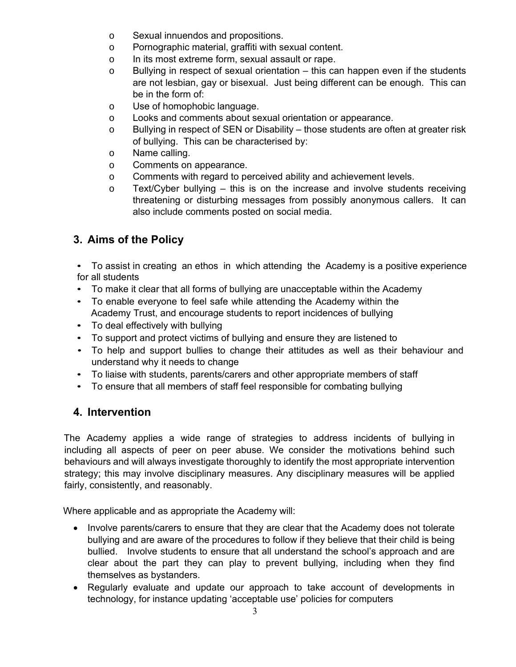- o Sexual innuendos and propositions.
- o Pornographic material, graffiti with sexual content.
- o In its most extreme form, sexual assault or rape.
- $\circ$  Bullying in respect of sexual orientation this can happen even if the students are not lesbian, gay or bisexual. Just being different can be enough. This can be in the form of:
- o Use of homophobic language.
- o Looks and comments about sexual orientation or appearance.
- o Bullying in respect of SEN or Disability those students are often at greater risk of bullying. This can be characterised by:
- o Name calling.
- o Comments on appearance.
- o Comments with regard to perceived ability and achievement levels.
- $\circ$  Text/Cyber bullying this is on the increase and involve students receiving threatening or disturbing messages from possibly anonymous callers. It can also include comments posted on social media.

### **3. Aims of the Policy**

• To assist in creating an ethos in which attending the Academy is a positive experience for all students

- To make it clear that all forms of bullying are unacceptable within the Academy
- To enable everyone to feel safe while attending the Academy within the Academy Trust, and encourage students to report incidences of bullying
- To deal effectively with bullying
- To support and protect victims of bullying and ensure they are listened to
- To help and support bullies to change their attitudes as well as their behaviour and understand why it needs to change
- To liaise with students, parents/carers and other appropriate members of staff
- To ensure that all members of staff feel responsible for combating bullying

#### **4. Intervention**

The Academy applies a wide range of strategies to address incidents of bullying in including all aspects of peer on peer abuse. We consider the motivations behind such behaviours and will always investigate thoroughly to identify the most appropriate intervention strategy; this may involve disciplinary measures. Any disciplinary measures will be applied fairly, consistently, and reasonably.

Where applicable and as appropriate the Academy will:

- Involve parents/carers to ensure that they are clear that the Academy does not tolerate bullying and are aware of the procedures to follow if they believe that their child is being bullied. Involve students to ensure that all understand the school's approach and are clear about the part they can play to prevent bullying, including when they find themselves as bystanders.
- Regularly evaluate and update our approach to take account of developments in technology, for instance updating 'acceptable use' policies for computers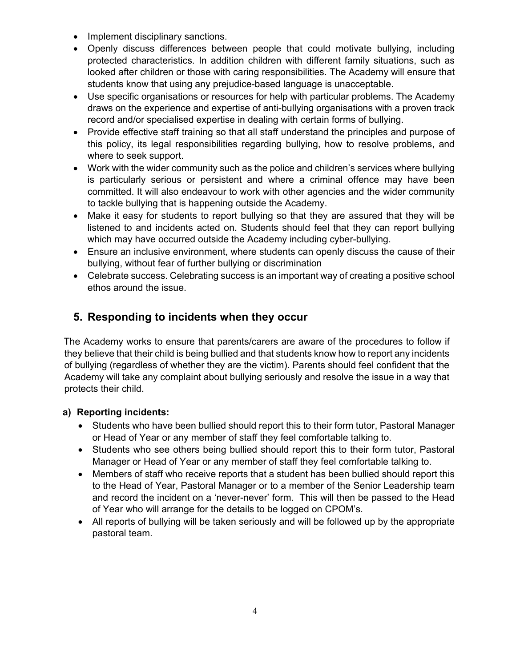- Implement disciplinary sanctions.
- Openly discuss differences between people that could motivate bullying, including protected characteristics. In addition children with different family situations, such as looked after children or those with caring responsibilities. The Academy will ensure that students know that using any prejudice-based language is unacceptable.
- Use specific organisations or resources for help with particular problems. The Academy draws on the experience and expertise of anti-bullying organisations with a proven track record and/or specialised expertise in dealing with certain forms of bullying.
- Provide effective staff training so that all staff understand the principles and purpose of this policy, its legal responsibilities regarding bullying, how to resolve problems, and where to seek support.
- Work with the wider community such as the police and children's services where bullying is particularly serious or persistent and where a criminal offence may have been committed. It will also endeavour to work with other agencies and the wider community to tackle bullying that is happening outside the Academy.
- Make it easy for students to report bullying so that they are assured that they will be listened to and incidents acted on. Students should feel that they can report bullying which may have occurred outside the Academy including cyber-bullying.
- Ensure an inclusive environment, where students can openly discuss the cause of their bullying, without fear of further bullying or discrimination
- Celebrate success. Celebrating success is an important way of creating a positive school ethos around the issue.

# **5. Responding to incidents when they occur**

The Academy works to ensure that parents/carers are aware of the procedures to follow if they believe that their child is being bullied and that students know how to report any incidents of bullying (regardless of whether they are the victim). Parents should feel confident that the Academy will take any complaint about bullying seriously and resolve the issue in a way that protects their child.

#### **a) Reporting incidents:**

- Students who have been bullied should report this to their form tutor, Pastoral Manager or Head of Year or any member of staff they feel comfortable talking to.
- Students who see others being bullied should report this to their form tutor, Pastoral Manager or Head of Year or any member of staff they feel comfortable talking to.
- Members of staff who receive reports that a student has been bullied should report this to the Head of Year, Pastoral Manager or to a member of the Senior Leadership team and record the incident on a 'never-never' form. This will then be passed to the Head of Year who will arrange for the details to be logged on CPOM's.
- All reports of bullying will be taken seriously and will be followed up by the appropriate pastoral team.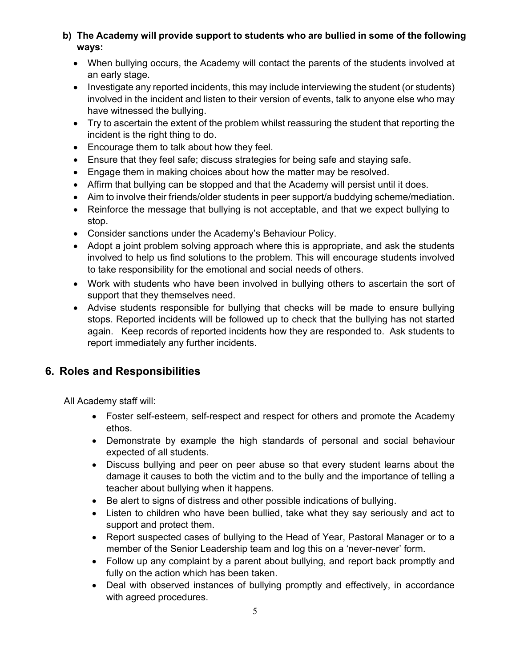#### **b) The Academy will provide support to students who are bullied in some of the following ways:**

- When bullying occurs, the Academy will contact the parents of the students involved at an early stage.
- Investigate any reported incidents, this may include interviewing the student (or students) involved in the incident and listen to their version of events, talk to anyone else who may have witnessed the bullying.
- Try to ascertain the extent of the problem whilst reassuring the student that reporting the incident is the right thing to do.
- Encourage them to talk about how they feel.
- Ensure that they feel safe; discuss strategies for being safe and staying safe.
- Engage them in making choices about how the matter may be resolved.
- Affirm that bullying can be stopped and that the Academy will persist until it does.
- Aim to involve their friends/older students in peer support/a buddying scheme/mediation.
- Reinforce the message that bullying is not acceptable, and that we expect bullying to stop.
- Consider sanctions under the Academy's Behaviour Policy.
- Adopt a joint problem solving approach where this is appropriate, and ask the students involved to help us find solutions to the problem. This will encourage students involved to take responsibility for the emotional and social needs of others.
- Work with students who have been involved in bullying others to ascertain the sort of support that they themselves need.
- Advise students responsible for bullying that checks will be made to ensure bullying stops. Reported incidents will be followed up to check that the bullying has not started again. Keep records of reported incidents how they are responded to. Ask students to report immediately any further incidents.

# **6. Roles and Responsibilities**

All Academy staff will:

- Foster self-esteem, self-respect and respect for others and promote the Academy ethos.
- Demonstrate by example the high standards of personal and social behaviour expected of all students.
- Discuss bullying and peer on peer abuse so that every student learns about the damage it causes to both the victim and to the bully and the importance of telling a teacher about bullying when it happens.
- Be alert to signs of distress and other possible indications of bullying.
- Listen to children who have been bullied, take what they say seriously and act to support and protect them.
- Report suspected cases of bullying to the Head of Year, Pastoral Manager or to a member of the Senior Leadership team and log this on a 'never-never' form.
- Follow up any complaint by a parent about bullying, and report back promptly and fully on the action which has been taken.
- Deal with observed instances of bullying promptly and effectively, in accordance with agreed procedures.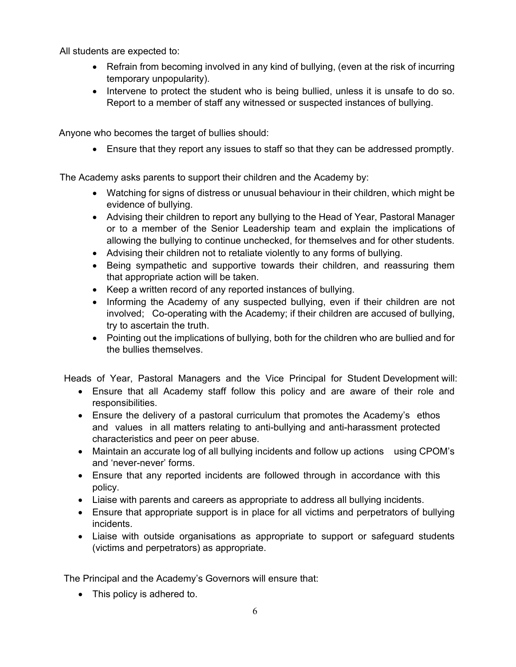All students are expected to:

- Refrain from becoming involved in any kind of bullying, (even at the risk of incurring temporary unpopularity).
- Intervene to protect the student who is being bullied, unless it is unsafe to do so. Report to a member of staff any witnessed or suspected instances of bullying.

Anyone who becomes the target of bullies should:

Ensure that they report any issues to staff so that they can be addressed promptly.

The Academy asks parents to support their children and the Academy by:

- Watching for signs of distress or unusual behaviour in their children, which might be evidence of bullying.
- Advising their children to report any bullying to the Head of Year, Pastoral Manager or to a member of the Senior Leadership team and explain the implications of allowing the bullying to continue unchecked, for themselves and for other students.
- Advising their children not to retaliate violently to any forms of bullying.
- Being sympathetic and supportive towards their children, and reassuring them that appropriate action will be taken.
- Keep a written record of any reported instances of bullying.
- Informing the Academy of any suspected bullying, even if their children are not involved; Co-operating with the Academy; if their children are accused of bullying, try to ascertain the truth.
- Pointing out the implications of bullying, both for the children who are bullied and for the bullies themselves.

Heads of Year, Pastoral Managers and the Vice Principal for Student Development will:

- Ensure that all Academy staff follow this policy and are aware of their role and responsibilities.
- Ensure the delivery of a pastoral curriculum that promotes the Academy's ethos and values in all matters relating to anti-bullying and anti-harassment protected characteristics and peer on peer abuse.
- Maintain an accurate log of all bullying incidents and follow up actions using CPOM's and 'never-never' forms.
- Ensure that any reported incidents are followed through in accordance with this policy.
- Liaise with parents and careers as appropriate to address all bullying incidents.
- Ensure that appropriate support is in place for all victims and perpetrators of bullying incidents.
- Liaise with outside organisations as appropriate to support or safeguard students (victims and perpetrators) as appropriate.

The Principal and the Academy's Governors will ensure that:

• This policy is adhered to.